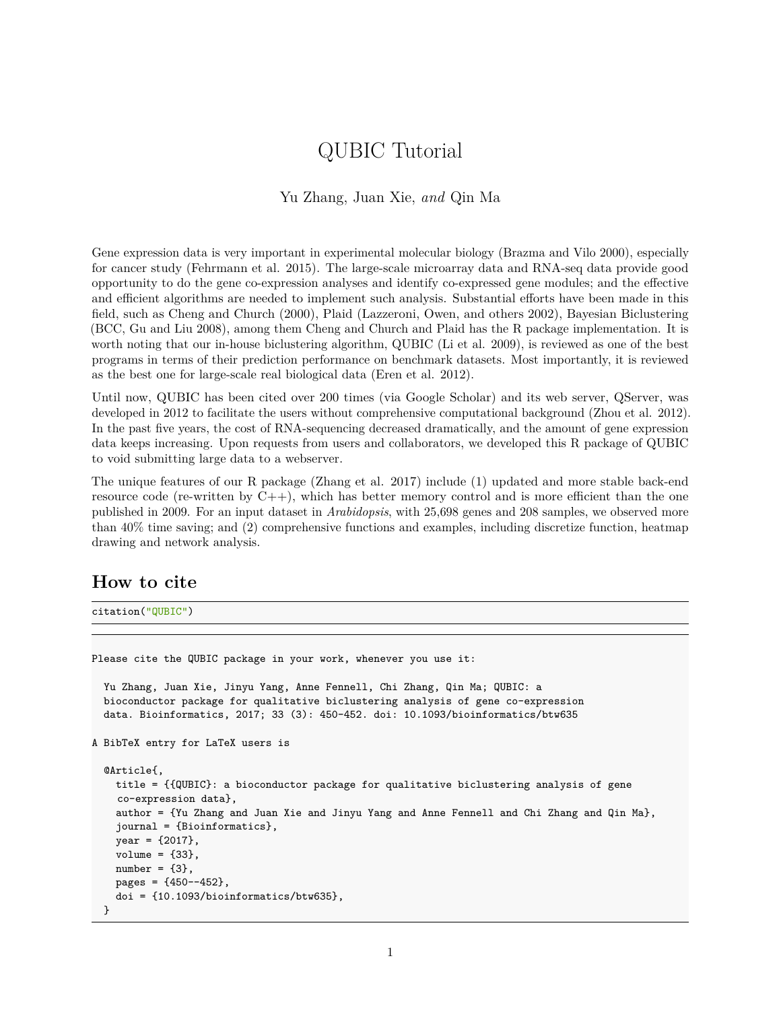# QUBIC Tutorial

### Yu Zhang, Juan Xie, *and* Qin Ma

Gene expression data is very important in experimental molecular biology (Brazma and Vilo 2000), especially for cancer study (Fehrmann et al. 2015). The large-scale microarray data and RNA-seq data provide good opportunity to do the gene co-expression analyses and identify co-expressed gene modules; and the effective and efficient algorithms are needed to implement such analysis. Substantial efforts have been made in this field, such as Cheng and Church (2000), Plaid (Lazzeroni, Owen, and others 2002), Bayesian Biclustering (BCC, Gu and Liu 2008), among them Cheng and Church and Plaid has the R package implementation. It is worth noting that our in-house biclustering algorithm, QUBIC (Li et al. 2009), is reviewed as one of the best programs in terms of their prediction performance on benchmark datasets. Most importantly, it is reviewed as the best one for large-scale real biological data (Eren et al. 2012).

Until now, QUBIC has been cited over 200 times (via [Google Scholar\)](https://scholar.google.com/scholar?cites=15047943471221701463) and its web server, QServer, was developed in 2012 to facilitate the users without comprehensive computational background (Zhou et al. 2012). In the past five years, the cost of RNA-sequencing decreased dramatically, and the amount of gene expression data keeps increasing. Upon requests from users and collaborators, we developed this R package of QUBIC to void submitting large data to a webserver.

The unique features of our R package (Zhang et al. 2017) include (1) updated and more stable back-end resource code (re-written by  $C_{++}$ ), which has better memory control and is more efficient than the one published in 2009. For an input dataset in *Arabidopsis*, with 25,698 genes and 208 samples, we observed more than 40% time saving; and (2) comprehensive functions and examples, including discretize function, heatmap drawing and network analysis.

### **How to cite**

citation("QUBIC")

Please cite the QUBIC package in your work, whenever you use it: Yu Zhang, Juan Xie, Jinyu Yang, Anne Fennell, Chi Zhang, Qin Ma; QUBIC: a bioconductor package for qualitative biclustering analysis of gene co-expression data. Bioinformatics, 2017; 33 (3): 450-452. doi: 10.1093/bioinformatics/btw635 A BibTeX entry for LaTeX users is @Article{, title = {{QUBIC}: a bioconductor package for qualitative biclustering analysis of gene co-expression data}, author = {Yu Zhang and Juan Xie and Jinyu Yang and Anne Fennell and Chi Zhang and Qin Ma}, journal = {Bioinformatics},  $year = {2017}$ , volume =  ${33}$ ,  $number = {3},$  $pages = {450--452}$ , doi = {10.1093/bioinformatics/btw635}, }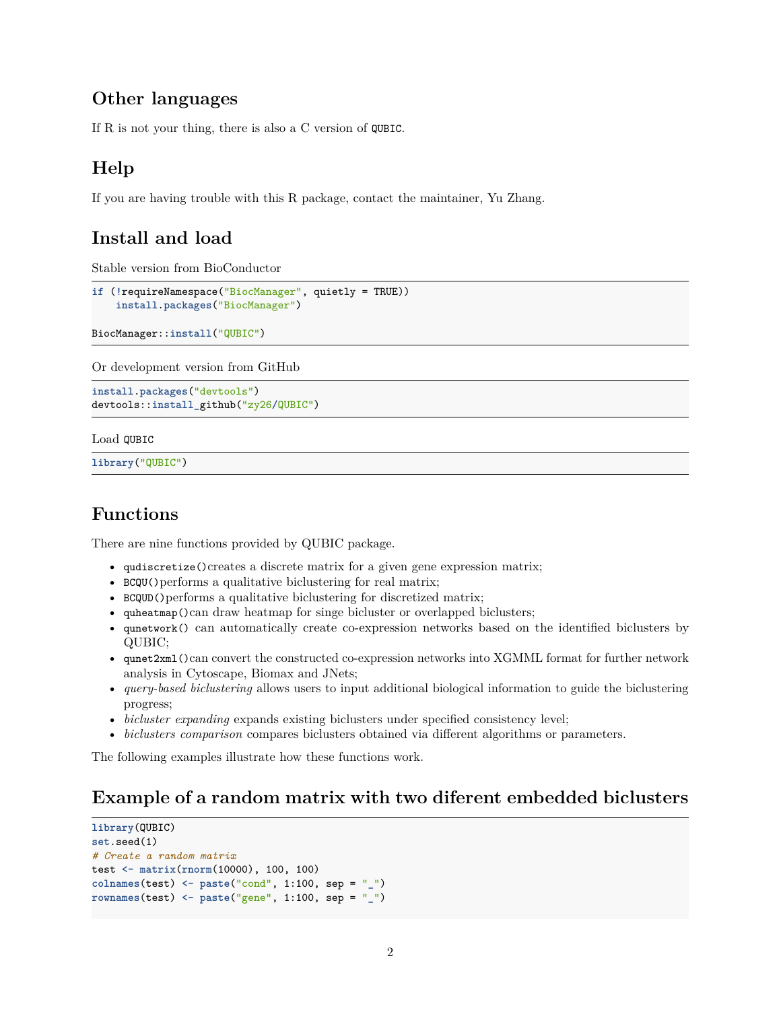## **Other languages**

If R is not your thing, there is also [a C version of](https://github.com/maqin2001/QUBIC) QUBIC.

# **Help**

If you are having trouble with this R package, contact [the maintainer, Yu Zhang.](mailto:zy26@jlu.edu.cn)

# **Install and load**

Stable version from BioConductor

```
if (!requireNamespace("BiocManager", quietly = TRUE))
    install.packages("BiocManager")
```
BiocManager::**install**("QUBIC")

Or development version from GitHub

```
install.packages("devtools")
devtools::install_github("zy26/QUBIC")
```
Load QUBIC

**library**("QUBIC")

# **Functions**

There are nine functions provided by QUBIC package.

- qudiscretize()creates a discrete matrix for a given gene expression matrix;
- BCQU()performs a qualitative biclustering for real matrix;
- BCQUD()performs a qualitative biclustering for discretized matrix;
- quheatmap()can draw heatmap for singe bicluster or overlapped biclusters;
- qunetwork() can automatically create co-expression networks based on the identified biclusters by QUBIC;
- qunet2xml()can convert the constructed co-expression networks into XGMML format for further network analysis in Cytoscape, Biomax and JNets;
- *query-based biclustering* allows users to input additional biological information to guide the biclustering progress;
- *bicluster expanding* expands existing biclusters under specified consistency level;
- *biclusters comparison* compares biclusters obtained via different algorithms or parameters.

The following examples illustrate how these functions work.

## **Example of a random matrix with two diferent embedded biclusters**

```
library(QUBIC)
set.seed(1)
# Create a random matrix
test <- matrix(rnorm(10000), 100, 100)
colnames(test) <- paste("cond", 1:100, sep = "_")
rownames(test) <- paste("gene", 1:100, sep = "_")
```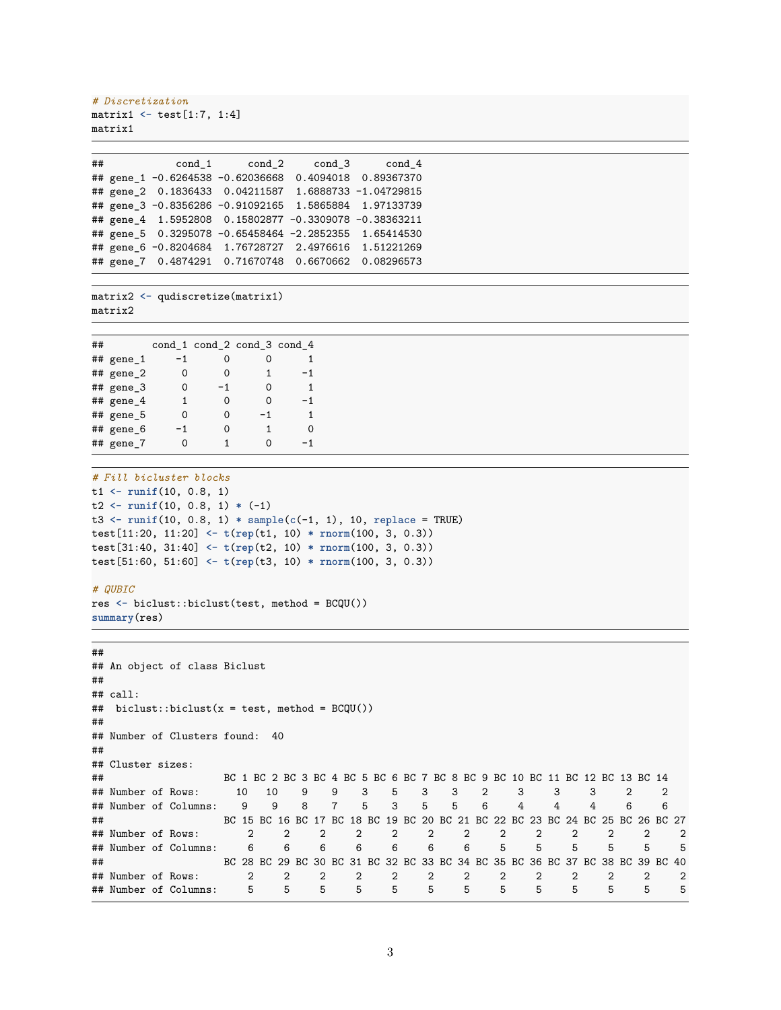```
# Discretization
matrix1 <- test[1:7, 1:4]
matrix1
```

|  | ## cond_1 cond_2 cond_3 cond_4                        |            |
|--|-------------------------------------------------------|------------|
|  | ## gene_1 -0.6264538 -0.62036668 0.4094018 0.89367370 |            |
|  | ## gene_2 0.1836433 0.04211587 1.6888733 -1.04729815  |            |
|  | ## gene_3 -0.8356286 -0.91092165 1.5865884 1.97133739 |            |
|  | ## gene_4 1.5952808 0.15802877 -0.3309078 -0.38363211 |            |
|  | ## gene_5 0.3295078 -0.65458464 -2.2852355 1.65414530 |            |
|  | ## gene_6 -0.8204684 1.76728727 2.4976616 1.51221269  |            |
|  | ## gene_7 0.4874291 0.71670748 0.6670662              | 0.08296573 |

```
matrix2 <- qudiscretize(matrix1)
matrix2
```

| ## |                 |      | cond_1 cond_2 cond_3 cond_4 |    |    |
|----|-----------------|------|-----------------------------|----|----|
|    | ## gene_1       | $-1$ | Ω                           |    | 1  |
|    | $#$ # gene 2    | 0    | Ω                           | 1  | -1 |
|    | ## gene_3       | 0    | $-1$                        | 0  | 1  |
|    | $#$ # gene 4    | 1    | 0                           | ∩  | -1 |
|    | ## gene_5       | 0    | 0                           | -1 | 1  |
|    | ## gene_6       | -1   | ი                           | 1  | ∩  |
|    | $#$ # gene $_7$ | ი    |                             | ∩  | -1 |

```
# Fill bicluster blocks
t1 <- runif(10, 0.8, 1)
t2 <- runif(10, 0.8, 1) * (-1)
t3 <- runif(10, 0.8, 1) * sample(c(-1, 1), 10, replace = TRUE)
test[11:20, 11:20] <- t(rep(t1, 10) * rnorm(100, 3, 0.3))
test[31:40, 31:40] <- t(rep(t2, 10) * rnorm(100, 3, 0.3))
test[51:60, 51:60] <- t(rep(t3, 10) * rnorm(100, 3, 0.3))
```
#### *# QUBIC*

```
res <- biclust::biclust(test, method = BCQU())
summary(res)
```
#### ##

```
## An object of class Biclust
##
## call:
## biclust::biclust(x = test, method = BCQU())
##
## Number of Clusters found: 40
##
## Cluster sizes:
## BC 1 BC 2 BC 3 BC 4 BC 5 BC 6 BC 7 BC 8 BC 9 BC 10 BC 11 BC 12 BC 13 BC 14
## Number of Rows: 10 10 9 9 3 5 3 3 2 3 3 3 2 2
## Number of Columns: 9 9 8 7 5 3 5 5 6 4 4 4 6 6
## BC 15 BC 16 BC 17 BC 18 BC 19 BC 20 BC 21 BC 22 BC 23 BC 24 BC 25 BC 26 BC 27
## Number of Rows: 2 2 2 2 2 2 2 2 2 2 2 2 2
## Number of Columns: 6 6 6 6 6 6 6 5 5 5 5 5 5
## BC 28 BC 29 BC 30 BC 31 BC 32 BC 33 BC 34 BC 35 BC 36 BC 37 BC 38 BC 39 BC 40
## Number of Rows: 2 2 2 2 2 2 2 2 2 2 2 2 2
## Number of Columns: 5 5 5 5 5 5 5 5 5 5 5 5 5
```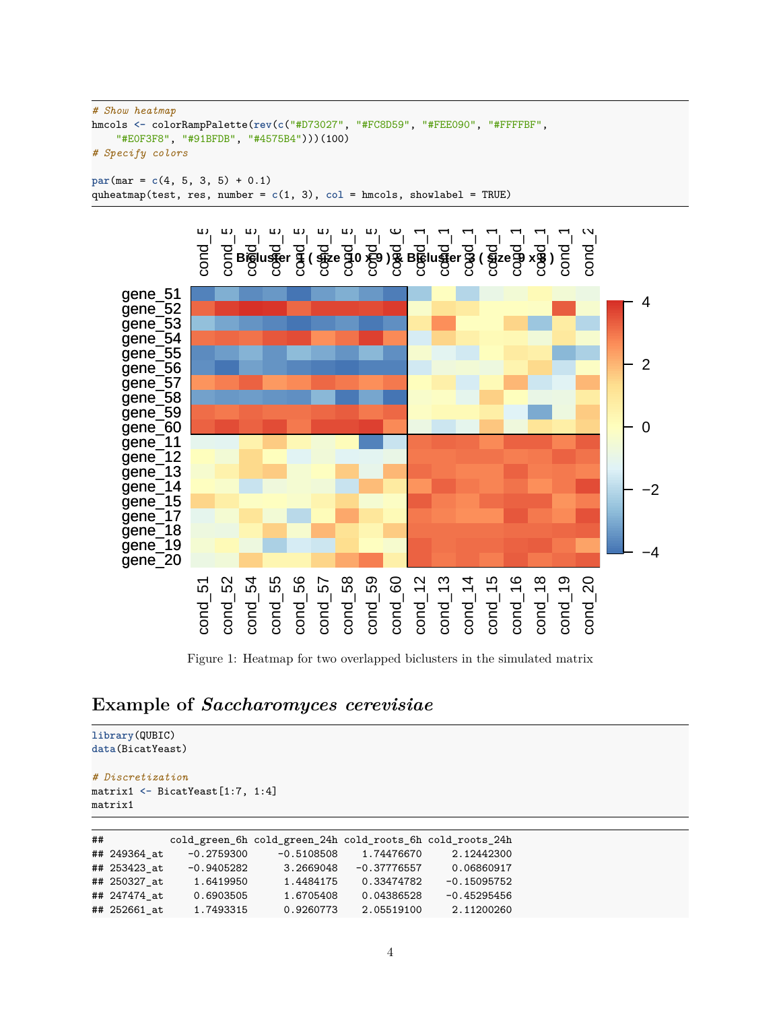```
# Show heatmap
hmcols <- colorRampPalette(rev(c("#D73027", "#FC8D59", "#FEE090", "#FFFFBF",
    "#E0F3F8", "#91BFDB", "#4575B4")))(100)
# Specify colors
```
 $par(max = c(4, 5, 3, 5) + 0.1)$ quheatmap(test, res, number = **c**(1, 3), **col** = hmcols, showlabel = TRUE)



Figure 1: Heatmap for two overlapped biclusters in the simulated matrix

## **Example of** *Saccharomyces cerevisiae*

```
library(QUBIC)
data(BicatYeast)
# Discretization
```

```
matrix1 <- BicatYeast[1:7, 1:4]
matrix1
```

| ## |              |              | cold_green_6h cold_green_24h cold_roots_6h cold_roots_24h |               |               |
|----|--------------|--------------|-----------------------------------------------------------|---------------|---------------|
|    | ## 249364 at | $-0.2759300$ | $-0.5108508$                                              | 1.74476670    | 2.12442300    |
|    | ## 253423 at | $-0.9405282$ | 3.2669048                                                 | $-0.37776557$ | 0.06860917    |
|    | ## 250327 at | 1.6419950    | 1.4484175                                                 | 0.33474782    | $-0.15095752$ |
|    | ## 247474 at | 0.6903505    | 1.6705408                                                 | 0.04386528    | $-0.45295456$ |
|    | ## 252661 at | 1.7493315    | 0.9260773                                                 | 2.05519100    | 2.11200260    |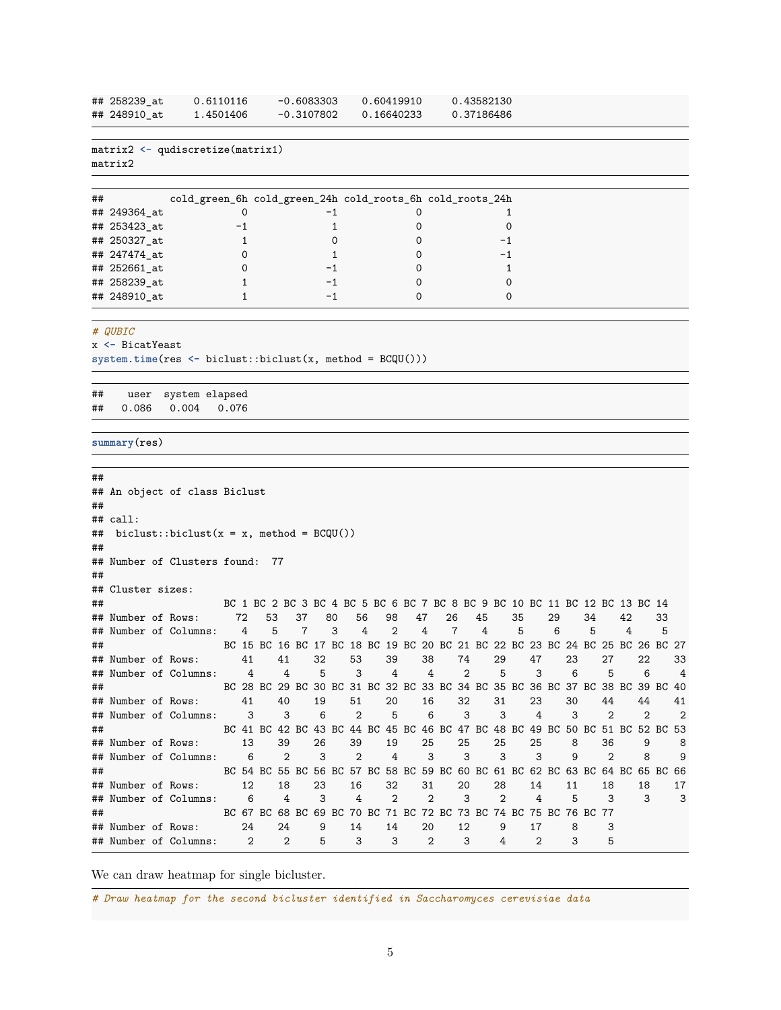| ## 258239 at | 0.6110116 | $-0.6083303$ | 0.60419910 | 0.43582130 |
|--------------|-----------|--------------|------------|------------|
| ## 248910 at | 1.4501406 | $-0.3107802$ | 0.16640233 | 0.37186486 |

```
matrix2 <- qudiscretize(matrix1)
matrix2
```

| ## |              | cold_green_6h cold_green_24h cold_roots_6h cold_roots_24h |  |
|----|--------------|-----------------------------------------------------------|--|
|    | ## 249364_at |                                                           |  |
|    | ## 253423_at |                                                           |  |
|    | ## 250327_at |                                                           |  |
|    | ## 247474_at |                                                           |  |
|    | ## 252661_at |                                                           |  |
|    | ## 258239_at |                                                           |  |
|    | ## 248910 at |                                                           |  |

```
# QUBIC
```
x **<-** BicatYeast

**system**.**time**(res **<-** biclust::biclust(x, method = BCQU()))

## user system elapsed ## 0.086 0.004 0.076

```
summary(res)
```

```
##
## An object of class Biclust
##
## call:
## biclust::biclust(x = x, method = BCQU())
##
## Number of Clusters found: 77
##
## Cluster sizes:
## BC 1 BC 2 BC 3 BC 4 BC 5 BC 6 BC 7 BC 8 BC 9 BC 10 BC 11 BC 12 BC 13 BC 14
## Number of Rows: 72 53 37 80 56 98 47 26 45 35 29 34 42 33
## Number of Columns: 4 5 7 3 4 2 4 7 4 5 6 5 4 5
## BC 15 BC 16 BC 17 BC 18 BC 19 BC 20 BC 21 BC 22 BC 23 BC 24 BC 25 BC 26 BC 27
## Number of Rows: 41 41 32 53 39 38 74 29 47 23 27 22 33
## Number of Columns: 4 4 5 3 4 4 2 5 3 6 5 6 4
## BC 28 BC 29 BC 30 BC 31 BC 32 BC 33 BC 34 BC 35 BC 36 BC 37 BC 38 BC 39 BC 40
## Number of Rows: 41 40 19 51 20 16 32 31 23 30 44 44 41
## Number of Columns: 3 3 6 2 5 6 3 3 4 3 2 2 2
## BC 41 BC 42 BC 43 BC 44 BC 45 BC 46 BC 47 BC 48 BC 49 BC 50 BC 51 BC 52 BC 53
## Number of Rows: 13 39 26 39 19 25 25 25 25 8 36 9 8
## Number of Columns: 6 2 3 2 4 3 3 3 3 9 2 8 9
## BC 54 BC 55 BC 56 BC 57 BC 58 BC 59 BC 60 BC 61 BC 62 BC 63 BC 64 BC 65 BC 66
## Number of Rows: 12 18 23 16 32 31 20 28 14 11 18 18 17
## Number of Columns: 6 4 3 4 2 2 3 2 4 5 3 3 3
## BC 67 BC 68 BC 69 BC 70 BC 71 BC 72 BC 73 BC 74 BC 75 BC 76 BC 77
## Number of Rows: 24 24 9 14 14 20 12 9 17 8 3
## Number of Columns: 2 2 5 3 3 2 3 4 2 3 5
```
We can draw heatmap for single bicluster.

*# Draw heatmap for the second bicluster identified in Saccharomyces cerevisiae data*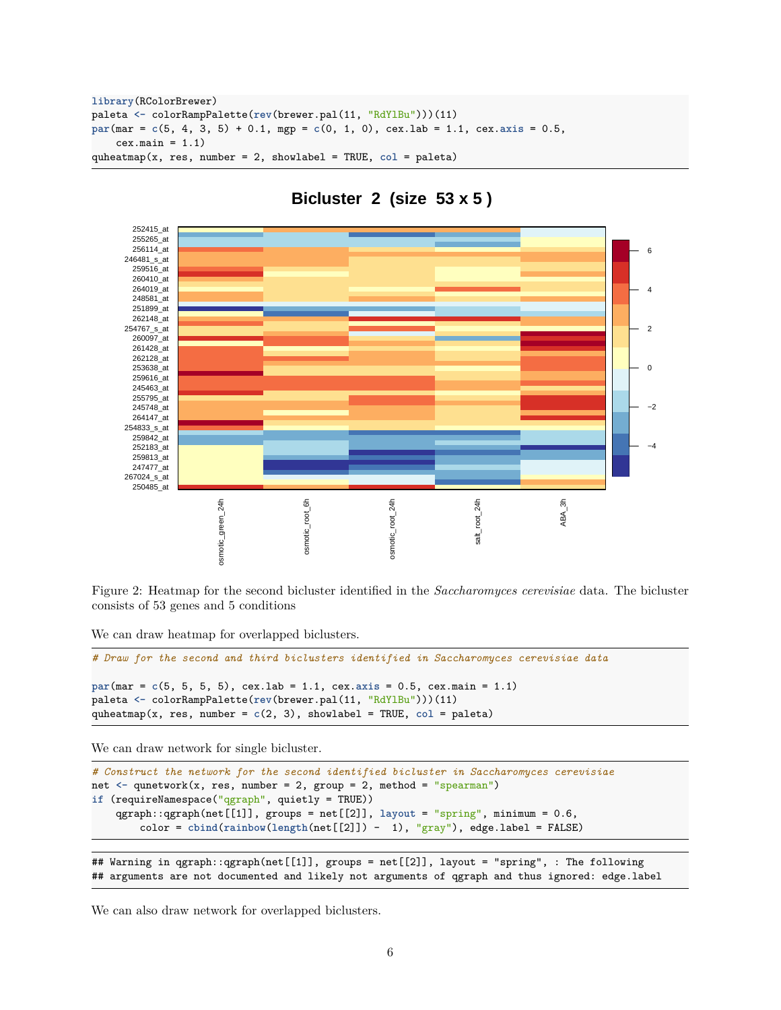```
library(RColorBrewer)
paleta <- colorRampPalette(rev(brewer.pal(11, "RdYlBu")))(11)
par(mar = c(5, 4, 3, 5) + 0.1, mgp = c(0, 1, 0), cex.lab = 1.1, cex.axis = 0.5,
    cex.mainloop = 1.1)quheatmap(x, res, number = 2, showlabel = TRUE, col = paleta)
```


## **Bicluster 2 (size 53 x 5 )**

Figure 2: Heatmap for the second bicluster identified in the *Saccharomyces cerevisiae* data. The bicluster consists of 53 genes and 5 conditions

We can draw heatmap for overlapped biclusters.

```
# Draw for the second and third biclusters identified in Saccharomyces cerevisiae data
par(mar = c(5, 5, 5, 5), cex.lab = 1.1, cex.axis = 0.5, cex.main = 1.1)
paleta <- colorRampPalette(rev(brewer.pal(11, "RdYlBu")))(11)
quheatmap(x, res, number = c(2, 3), showlabel = TRUE, col = paleta)
```
We can draw network for single bicluster.

```
# Construct the network for the second identified bicluster in Saccharomyces cerevisiae
net \leq qunetwork(x, res, number = 2, group = 2, method = "spearman")
if (requireNamespace("qgraph", quietly = TRUE))
    qgraph::qgraph(net[[1]], groups = net[[2]], layout = "spring", minimum = 0.6,
        color = cbind(rainbow(length(net[[2]]) - 1), "gray"), edge.label = FALSE)
```
## Warning in qgraph::qgraph(net[[1]], groups = net[[2]], layout = "spring", : The following ## arguments are not documented and likely not arguments of qgraph and thus ignored: edge.label

We can also draw network for overlapped biclusters.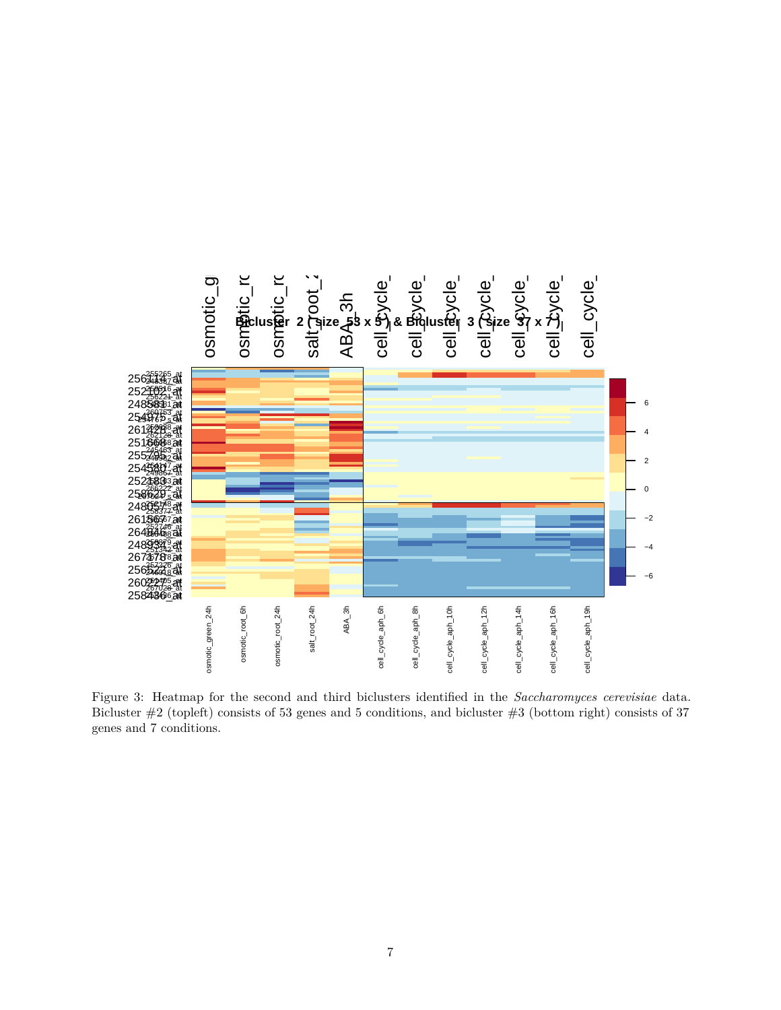

Figure 3: Heatmap for the second and third biclusters identified in the *Saccharomyces cerevisiae* data. Bicluster #2 (topleft) consists of 53 genes and 5 conditions, and bicluster #3 (bottom right) consists of 37 genes and 7 conditions.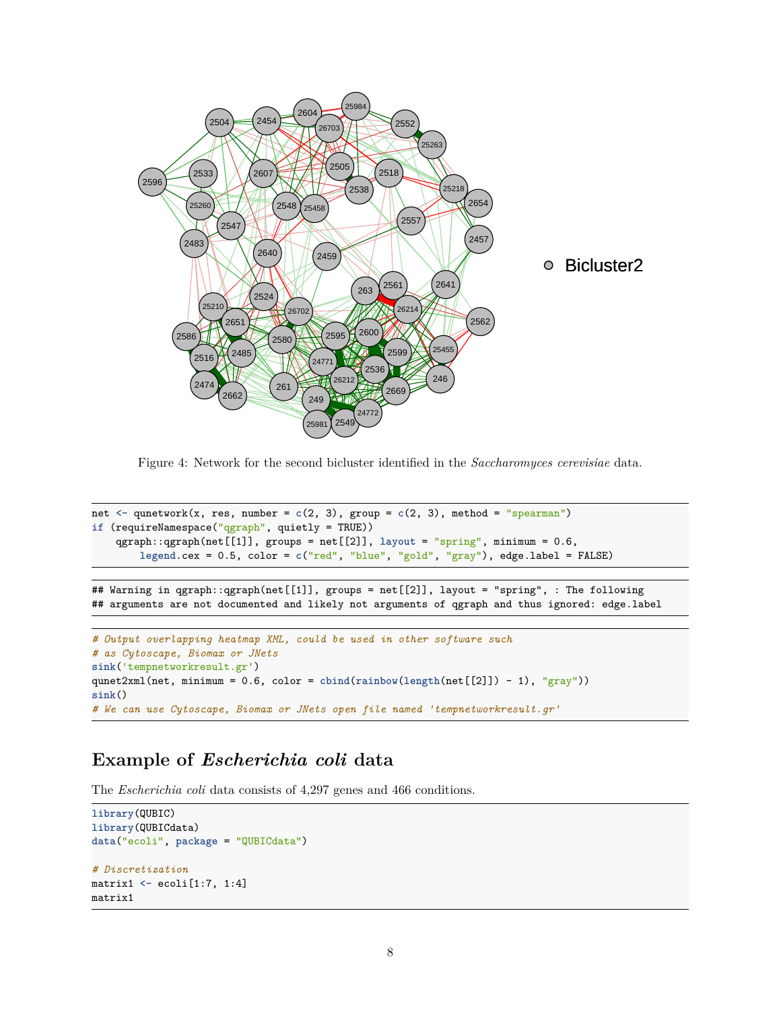

Figure 4: Network for the second bicluster identified in the *Saccharomyces cerevisiae* data.

```
net \leq qunetwork(x, res, number = c(2, 3), group = c(2, 3), method = "spearman")
if (requireNamespace("qgraph", quietly = TRUE))
    qgraph::qgraph(net[[1]], groups = net[[2]], layout = "spring", minimum = 0.6,
        legend.cex = 0.5, color = c("red", "blue", "gold", "gray"), edge.label = FALSE)
```
## Warning in qgraph::qgraph(net[[1]], groups = net[[2]], layout = "spring", : The following ## arguments are not documented and likely not arguments of qgraph and thus ignored: edge.label

```
# Output overlapping heatmap XML, could be used in other software such
# as Cytoscape, Biomax or JNets
sink('tempnetworkresult.gr')
qunet2xml(net, minimum = 0.6, color = cbind(rainbow(length(net[[2]]) - 1), "gray"))
sink()
# We can use Cytoscape, Biomax or JNets open file named 'tempnetworkresult.gr'
```
## **Example of** *Escherichia coli* **data**

The *Escherichia coli* data consists of 4,297 genes and 466 conditions.

```
library(QUBIC)
library(QUBICdata)
data("ecoli", package = "QUBICdata")
# Discretization
matrix1 <- ecoli[1:7, 1:4]
matrix1
```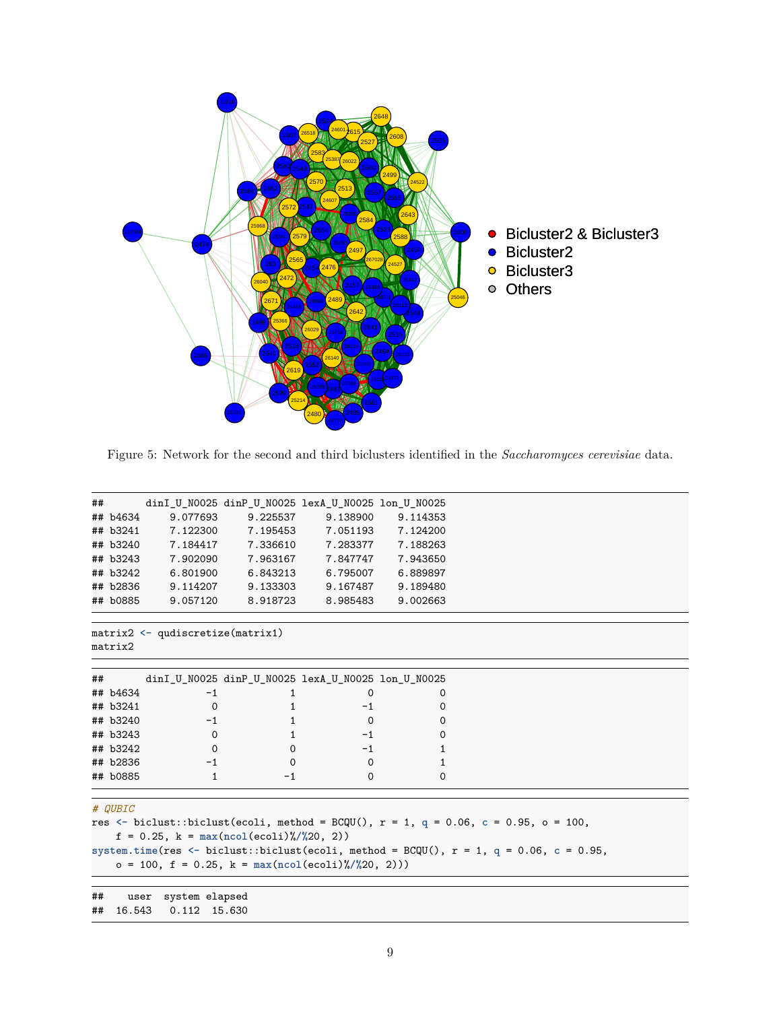

Figure 5: Network for the second and third biclusters identified in the *Saccharomyces cerevisiae* data.

|    |          |          | dinI_U_N0025 dinP_U_N0025 lexA_U_N0025 lon_U_N0025 |          |          |
|----|----------|----------|----------------------------------------------------|----------|----------|
| ## | ## b4634 | 9.077693 | 9.225537                                           | 9.138900 | 9.114353 |
|    |          |          |                                                    |          |          |
|    | ## b3241 | 7.122300 | 7.195453                                           | 7.051193 | 7.124200 |
|    | ## b3240 | 7.184417 | 7.336610                                           | 7.283377 | 7.188263 |
|    | ## b3243 | 7.902090 | 7.963167                                           | 7.847747 | 7.943650 |
|    | ## b3242 | 6.801900 | 6.843213                                           | 6.795007 | 6.889897 |
|    | ## b2836 | 9.114207 | 9.133303                                           | 9.167487 | 9.189480 |
|    | ## b0885 | 9.057120 | 8.918723                                           | 8.985483 | 9.002663 |
|    |          |          |                                                    |          |          |
| ## |          |          |                                                    |          |          |
|    |          |          | dinI_U_N0025 dinP_U_N0025 lexA_U_N0025 lon_U_N0025 |          |          |
|    | ## b4634 | $-1$     |                                                    |          | $\Omega$ |
|    | ## b3241 | $\Omega$ |                                                    | $-1$     | 0        |
|    | ## b3240 | $-1$     |                                                    | 0        | 0        |
|    | ## b3243 | 0        |                                                    | $-1$     | 0        |
|    | ## b3242 | $\Omega$ |                                                    | $-1$     |          |
|    | ## b2836 | $-1$     | 0                                                  | $\Omega$ |          |

#### *# QUBIC*

```
res <- biclust::biclust(ecoli, method = BCQU(), r = 1, q = 0.06, c = 0.95, o = 100,
    f = 0.25, k = max(ncol(ecoli)%/%20, 2))
system.time(res <- biclust::biclust(ecoli, method = BCQU(), r = 1, q = 0.06, c = 0.95,
    o = 100, f = 0.25, k = max(ncol(ecoli)%/%20, 2)))
```
## user system elapsed

```
## 16.543 0.112 15.630
```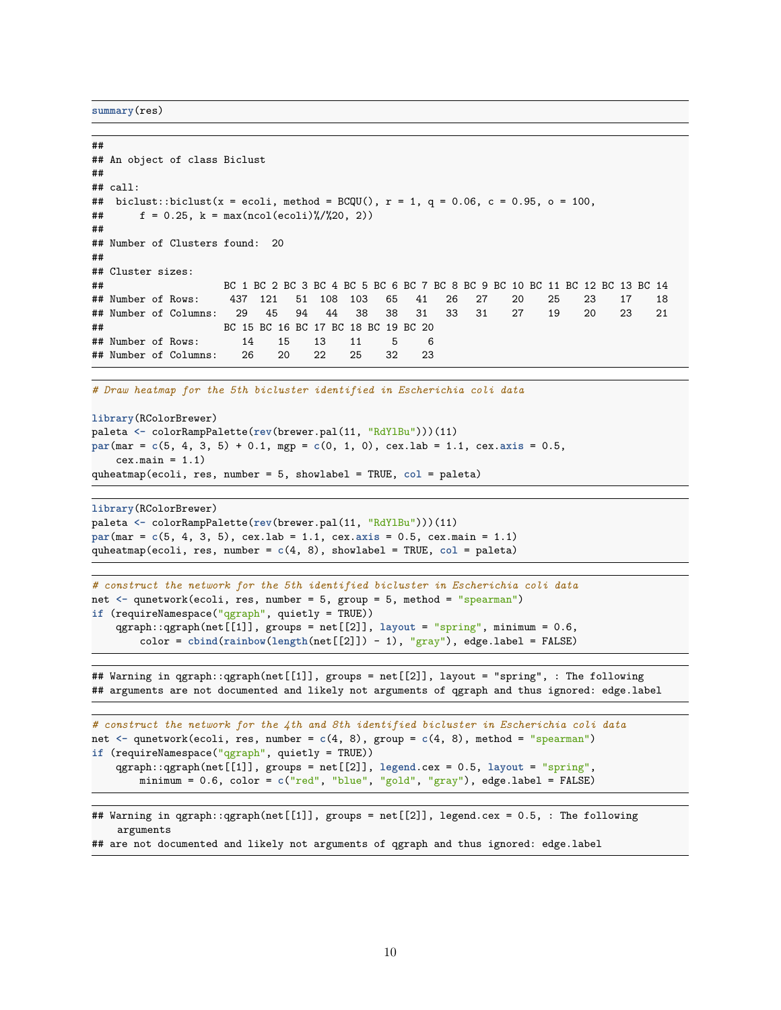**summary**(res)

```
##
## An object of class Biclust
##
## call:
## biclust::biclust(x = ecoli, method = BCQU(), r = 1, q = 0.06, c = 0.95, o = 100,
\# f = 0.25, k = max(ncol(ecoli)%/%20, 2))
##
## Number of Clusters found: 20
##
## Cluster sizes:
## BC 1 BC 2 BC 3 BC 4 BC 5 BC 6 BC 7 BC 8 BC 9 BC 10 BC 11 BC 12 BC 13 BC 14
## Number of Rows: 437 121 51 108 103 65 41 26 27 20 25 23 17 18
## Number of Columns: 29 45 94 44 38 38 31 33 31 27 19 20 23 21
## BC 15 BC 16 BC 17 BC 18 BC 19 BC 20
## Number of Rows: 14 15 13 11 5 6
## Number of Columns: 26 20 22 25 32 23
```
*# Draw heatmap for the 5th bicluster identified in Escherichia coli data*

```
library(RColorBrewer)
paleta <- colorRampPalette(rev(brewer.pal(11, "RdYlBu")))(11)
par(mar = c(5, 4, 3, 5) + 0.1, mgp = c(0, 1, 0), cex.lab = 1.1, cex.axis = 0.5,
    cex.mainloop = 1.1)quheatmap(ecoli, res, number = 5, showlabel = TRUE, col = paleta)
```

```
library(RColorBrewer)
paleta <- colorRampPalette(rev(brewer.pal(11, "RdYlBu")))(11)
par(mar = c(5, 4, 3, 5), cex.lab = 1.1, cex.axis = 0.5, cex.main = 1.1)
quheatmap(ecoli, res, number = c(4, 8), showlabel = TRUE, col = paleta)
```

```
# construct the network for the 5th identified bicluster in Escherichia coli data
net <- qunetwork(ecoli, res, number = 5, group = 5, method = "spearman")
if (requireNamespace("qgraph", quietly = TRUE))
    qgraph::qgraph(net[[1]], groups = net[[2]], layout = "spring", minimum = 0.6,
        color = cbind(rainbow(length(net[[2]]) - 1), "gray"), edge.label = FALSE)
```
## Warning in qgraph::qgraph(net[[1]], groups = net[[2]], layout = "spring", : The following ## arguments are not documented and likely not arguments of qgraph and thus ignored: edge.label

```
# construct the network for the 4th and 8th identified bicluster in Escherichia coli data
net <- qunetwork(ecoli, res, number = c(4, 8), group = c(4, 8), method = "spearman")
if (requireNamespace("qgraph", quietly = TRUE))
    qgraph::qgraph(net[[1]], groups = net[[2]], legend.cex = 0.5, layout = "spring",
        minimum = 0.6, color = c("red", "blue", "gold", "gray"), edge.label = FALSE)
```

```
## Warning in qgraph::qgraph(net[[1]], groups = net[[2]], legend.cex = 0.5, : The following
    arguments
```
## are not documented and likely not arguments of qgraph and thus ignored: edge.label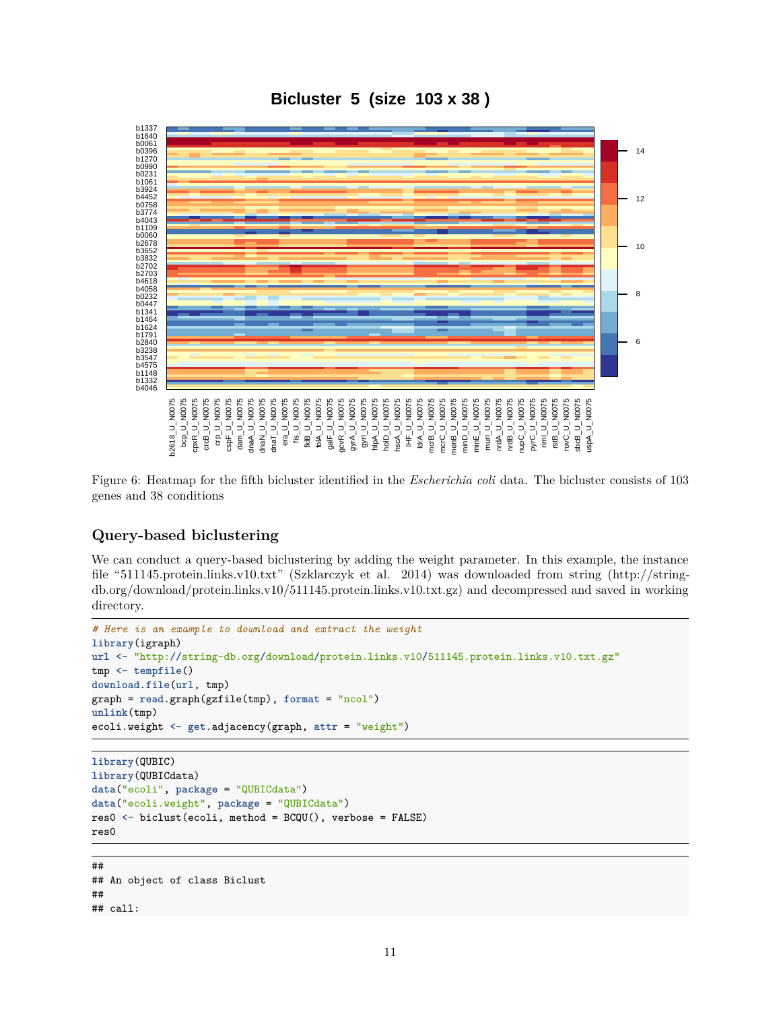**Bicluster 5 (size 103 x 38 )**



Figure 6: Heatmap for the fifth bicluster identified in the *Escherichia coli* data. The bicluster consists of 103 genes and 38 conditions

### **Query-based biclustering**

We can conduct a query-based biclustering by adding the weight parameter. In this example, the instance file "511145.protein.links.v10.txt" (Szklarczyk et al. 2014) was downloaded from string [\(http://string](http://string-db.org/download/protein.links.v10/511145.protein.links.v10.txt.gz)[db.org/download/protein.links.v10/511145.protein.links.v10.txt.gz\)](http://string-db.org/download/protein.links.v10/511145.protein.links.v10.txt.gz) and decompressed and saved in working directory.

```
# Here is an example to download and extract the weight
library(igraph)
url <- "http://string-db.org/download/protein.links.v10/511145.protein.links.v10.txt.gz"
tmp <- tempfile()
download.file(url, tmp)
graph = read.graph(gzfile(tmp), format = "ncol")
unlink(tmp)
ecoli.weight <- get.adjacency(graph, attr = "weight")
```

```
library(QUBIC)
library(QUBICdata)
data("ecoli", package = "QUBICdata")
data("ecoli.weight", package = "QUBICdata")
res0 <- biclust(ecoli, method = BCQU(), verbose = FALSE)
res0
```
## ## An object of class Biclust ## ## call: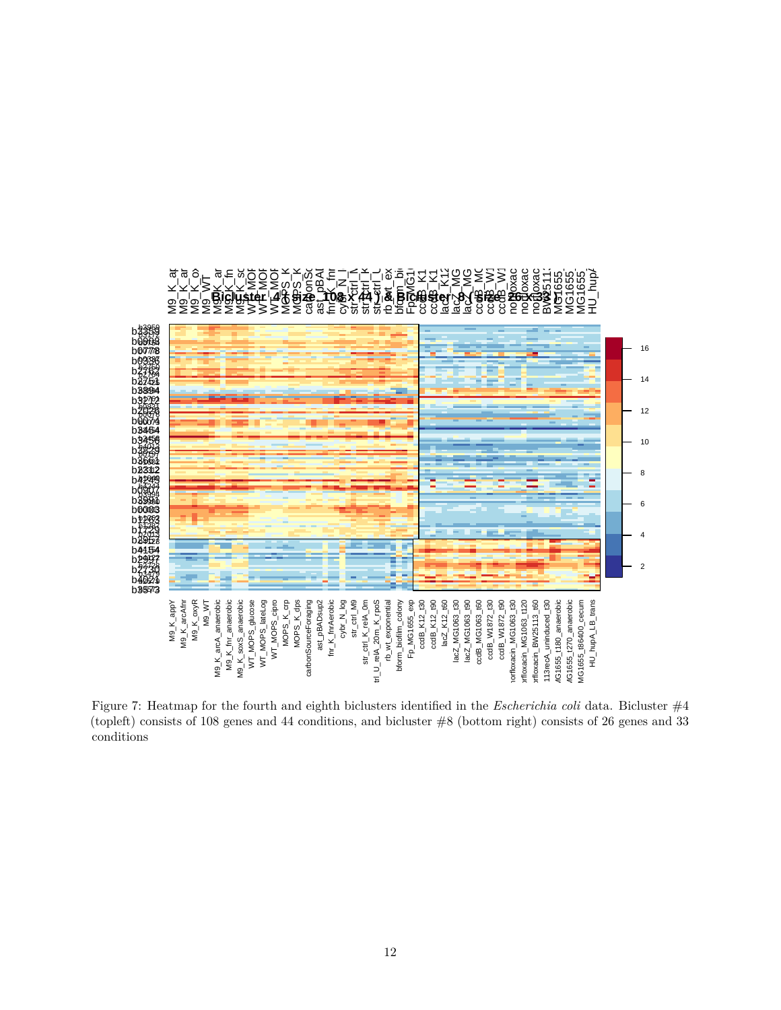

Figure 7: Heatmap for the fourth and eighth biclusters identified in the *Escherichia coli* data. Bicluster  $\#4$ (topleft) consists of 108 genes and 44 conditions, and bicluster #8 (bottom right) consists of 26 genes and 33 conditions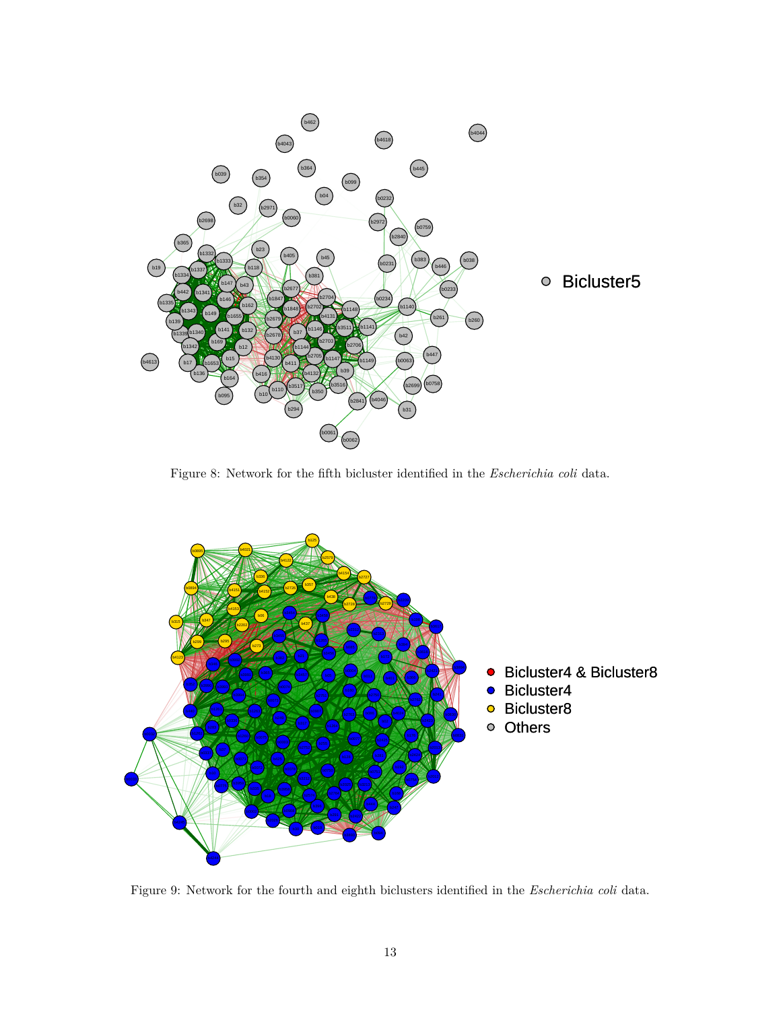

Figure 8: Network for the fifth bicluster identified in the *Escherichia coli* data.



Figure 9: Network for the fourth and eighth biclusters identified in the *Escherichia coli* data.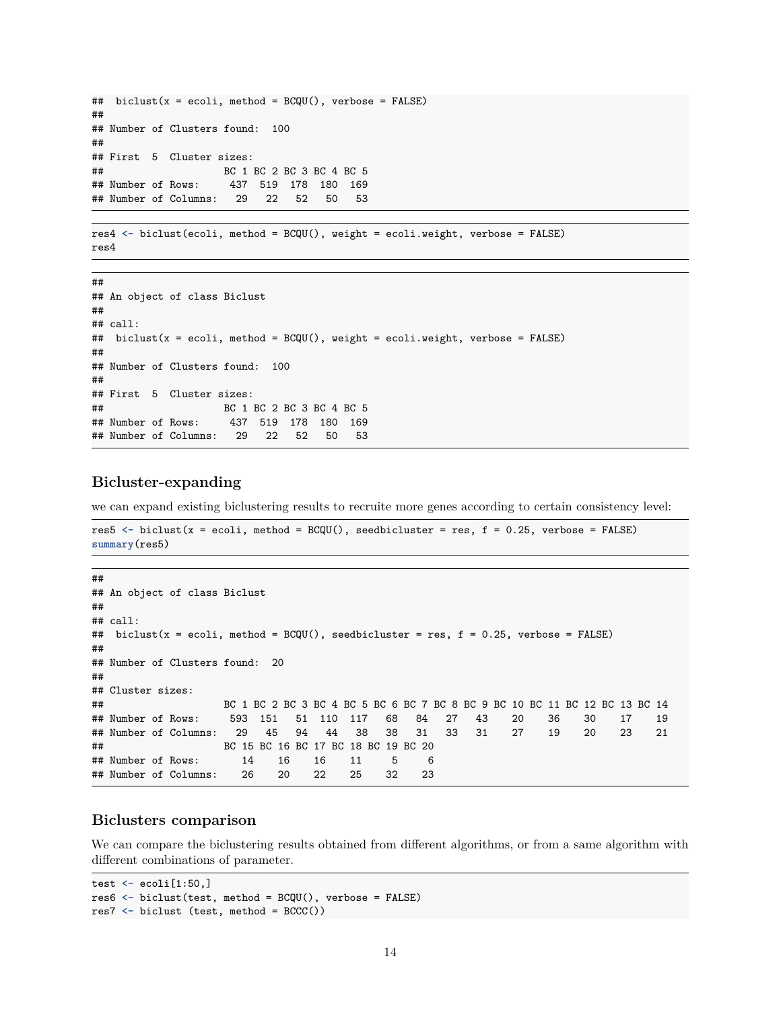```
## biclust(x = ecoli, method = BCQU(), verbose = FALSE)##
## Number of Clusters found: 100
##
## First 5 Cluster sizes:
## BC 1 BC 2 BC 3 BC 4 BC 5
## Number of Rows: 437 519 178 180 169
## Number of Columns: 29 22 52 50 53
```

```
res4 <- biclust(ecoli, method = BCQU(), weight = ecoli.weight, verbose = FALSE)
res4
```

```
##
## An object of class Biclust
##
## call:
## biclust(x = ecoli, method = BCQU(), weight = ecoli.weight, verbose = FALSE)
##
## Number of Clusters found: 100
##
## First 5 Cluster sizes:
## BC 1 BC 2 BC 3 BC 4 BC 5
## Number of Rows: 437 519 178 180 169
## Number of Columns: 29 22 52 50 53
```
### **Bicluster-expanding**

we can expand existing biclustering results to recruite more genes according to certain consistency level:

```
res5 <- biclust(x = ecoli, method = BCQU(), seedbicluster = res, f = 0.25, verbose = FALSE)
summary(res5)
```

```
##
## An object of class Biclust
##
## call:
## biclust(x = ecoli, method = BCQU(), seedbicluster = res, f = 0.25, verbose = FALSE)
##
## Number of Clusters found: 20
##
## Cluster sizes:
## BC 1 BC 2 BC 3 BC 4 BC 5 BC 6 BC 7 BC 8 BC 9 BC 10 BC 11 BC 12 BC 13 BC 14
## Number of Rows: 593 151 51 110 117 68 84 27 43 20 36 30 17 19
## Number of Columns: 29 45 94 44 38 38 31 33 31 27 19 20 23 21
## BC 15 BC 16 BC 17 BC 18 BC 19 BC 20
## Number of Rows: 14 16 16 11 5 6
## Number of Columns: 26 20 22 25 32 23
```
### **Biclusters comparison**

We can compare the biclustering results obtained from different algorithms, or from a same algorithm with different combinations of parameter.

```
test <- ecoli[1:50,]
res6 <- biclust(test, method = BCQU(), verbose = FALSE)
res7 <- biclust (test, method = BCCC())
```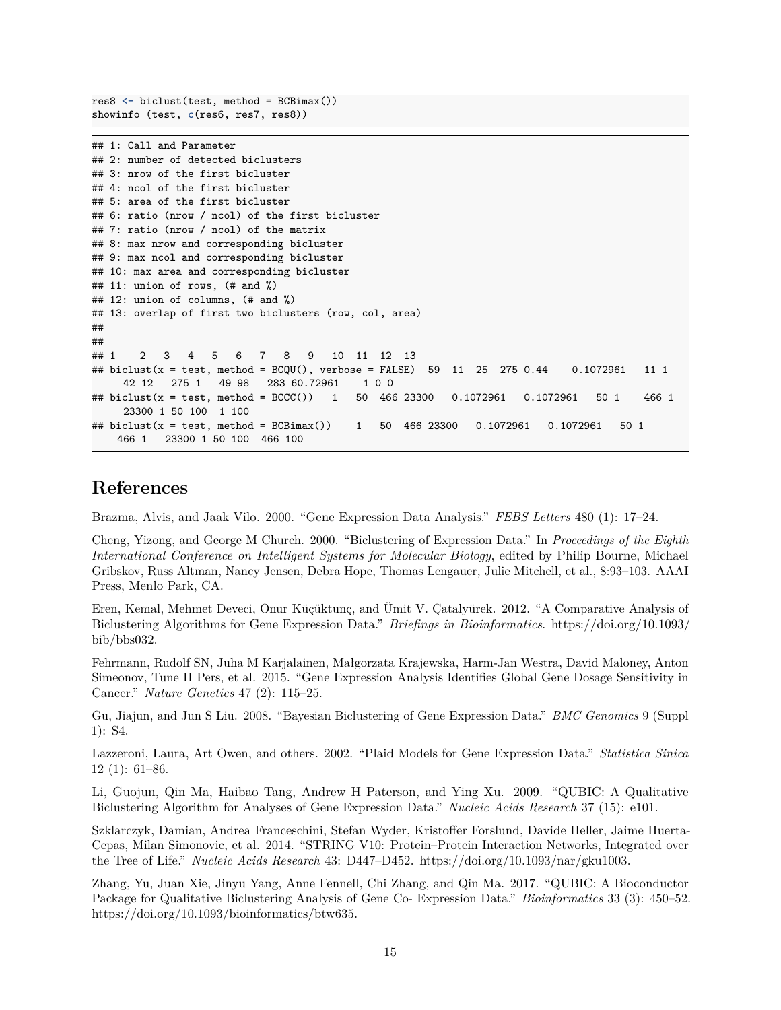res8 **<-** biclust(test, method = BCBimax()) showinfo (test, **c**(res6, res7, res8))

```
## 1: Call and Parameter
## 2: number of detected biclusters
## 3: nrow of the first bicluster
## 4: ncol of the first bicluster
## 5: area of the first bicluster
## 6: ratio (nrow / ncol) of the first bicluster
## 7: ratio (nrow / ncol) of the matrix
## 8: max nrow and corresponding bicluster
## 9: max ncol and corresponding bicluster
## 10: max area and corresponding bicluster
## 11: union of rows, (# and %)
## 12: union of columns, (# and %)
## 13: overlap of first two biclusters (row, col, area)
##
##
## 1 2 3 4 5 6 7 8 9 10 11 12 13
## biclust(x = test, method = BCQU(), verbose = FALSE) 59 11 25 275 0.44 0.1072961 11 1
    42 12 275 1 49 98 283 60.72961 1 0 0
## biclust(x = test, method = BCCC()) 1 50 466 23300 0.1072961 0.1072961 50 1 466 1
    23300 1 50 100 1 100
## biclust(x = test, method = BCBimax()) 1 50 466 23300 0.1072961 0.1072961 50 1
    466 1 23300 1 50 100 466 100
```
### **References**

Brazma, Alvis, and Jaak Vilo. 2000. "Gene Expression Data Analysis." *FEBS Letters* 480 (1): 17–24.

Cheng, Yizong, and George M Church. 2000. "Biclustering of Expression Data." In *Proceedings of the Eighth International Conference on Intelligent Systems for Molecular Biology*, edited by Philip Bourne, Michael Gribskov, Russ Altman, Nancy Jensen, Debra Hope, Thomas Lengauer, Julie Mitchell, et al., 8:93–103. AAAI Press, Menlo Park, CA.

Eren, Kemal, Mehmet Deveci, Onur Küçüktunç, and Ümit V. Çatalyürek. 2012. "A Comparative Analysis of Biclustering Algorithms for Gene Expression Data." *Briefings in Bioinformatics*. [https://doi.org/10.1093/](https://doi.org/10.1093/bib/bbs032) [bib/bbs032.](https://doi.org/10.1093/bib/bbs032)

Fehrmann, Rudolf SN, Juha M Karjalainen, Małgorzata Krajewska, Harm-Jan Westra, David Maloney, Anton Simeonov, Tune H Pers, et al. 2015. "Gene Expression Analysis Identifies Global Gene Dosage Sensitivity in Cancer." *Nature Genetics* 47 (2): 115–25.

Gu, Jiajun, and Jun S Liu. 2008. "Bayesian Biclustering of Gene Expression Data." *BMC Genomics* 9 (Suppl 1): S4.

Lazzeroni, Laura, Art Owen, and others. 2002. "Plaid Models for Gene Expression Data." *Statistica Sinica* 12 (1): 61–86.

Li, Guojun, Qin Ma, Haibao Tang, Andrew H Paterson, and Ying Xu. 2009. "QUBIC: A Qualitative Biclustering Algorithm for Analyses of Gene Expression Data." *Nucleic Acids Research* 37 (15): e101.

Szklarczyk, Damian, Andrea Franceschini, Stefan Wyder, Kristoffer Forslund, Davide Heller, Jaime Huerta-Cepas, Milan Simonovic, et al. 2014. "STRING V10: Protein–Protein Interaction Networks, Integrated over the Tree of Life." *Nucleic Acids Research* 43: D447–D452. [https://doi.org/10.1093/nar/gku1003.](https://doi.org/10.1093/nar/gku1003)

Zhang, Yu, Juan Xie, Jinyu Yang, Anne Fennell, Chi Zhang, and Qin Ma. 2017. "QUBIC: A Bioconductor Package for Qualitative Biclustering Analysis of Gene Co- Expression Data." *Bioinformatics* 33 (3): 450–52. [https://doi.org/10.1093/bioinformatics/btw635.](https://doi.org/10.1093/bioinformatics/btw635)